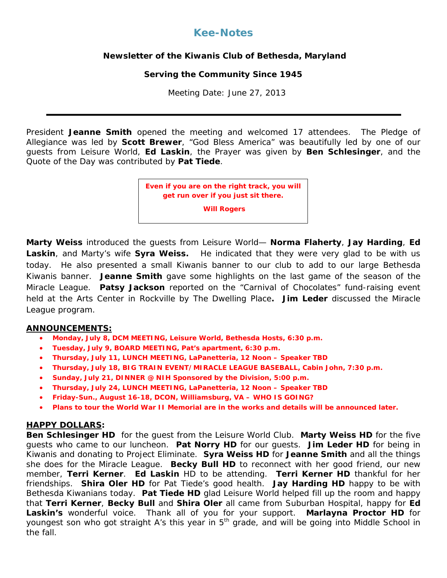# **Kee-Notes**

## **Newsletter of the Kiwanis Club of Bethesda, Maryland**

## **Serving the Community Since 1945**

Meeting Date: June 27, 2013

President **Jeanne Smith** opened the meeting and welcomed 17 attendees. The Pledge of Allegiance was led by **Scott Brewer**, "God Bless America" was beautifully led by one of our guests from Leisure World, **Ed Laskin**, the Prayer was given by **Ben Schlesinger**, and the Quote of the Day was contributed by **Pat Tiede**.

> **Even if you are on the right track, you will get run over if you just sit there.**

> > **Will Rogers**

**Marty Weiss** introduced the guests from Leisure World— **Norma Flaherty**, **Jay Harding**, **Ed**  Laskin, and Marty's wife **Syra Weiss.** He indicated that they were very glad to be with us today. He also presented a small Kiwanis banner to our club to add to our large Bethesda Kiwanis banner. **Jeanne Smith** gave some highlights on the last game of the season of the Miracle League. **Patsy Jackson** reported on the "Carnival of Chocolates" fund-raising event held at the Arts Center in Rockville by The Dwelling Place**. Jim Leder** discussed the Miracle League program.

### **ANNOUNCEMENTS:**

- **Monday, July 8, DCM MEETING, Leisure World, Bethesda Hosts, 6:30 p.m.**
- **Tuesday, July 9, BOARD MEETING, Pat's apartment, 6:30 p.m.**
- **Thursday, July 11, LUNCH MEETING, LaPanetteria, 12 Noon – Speaker TBD**
- **Thursday, July 18, BIG TRAIN EVENT/MIRACLE LEAGUE BASEBALL, Cabin John, 7:30 p.m.**
- **Sunday, July 21, DINNER @ NIH Sponsored by the Division, 5:00 p.m.**
- **Thursday, July 24, LUNCH MEETING, LaPanetteria, 12 Noon – Speaker TBD**
- **Friday-Sun., August 16-18, DCON, Williamsburg, VA – WHO IS GOING?**
- **Plans to tour the World War II Memorial are in the works and details will be announced later.**

#### **HAPPY DOLLARS:**

**Ben Schlesinger HD** for the guest from the Leisure World Club. **Marty Weiss HD** for the five guests who came to our luncheon. **Pat Norry HD** for our guests. **Jim Leder HD** for being in Kiwanis and donating to Project Eliminate. **Syra Weiss HD** for **Jeanne Smith** and all the things she does for the Miracle League. **Becky Bull HD** to reconnect with her good friend, our new member, **Terri Kerner**. **Ed Laskin** HD to be attending. **Terri Kerner HD** thankful for her friendships. **Shira Oler HD** for Pat Tiede's good health. **Jay Harding HD** happy to be with Bethesda Kiwanians today. **Pat Tiede HD** glad Leisure World helped fill up the room and happy that **Terri Kerner**, **Becky Bull** and **Shira Oler** all came from Suburban Hospital, happy for **Ed Laskin's** wonderful voice. Thank all of you for your support. **Marlayna Proctor HD** for youngest son who got straight A's this year in 5<sup>th</sup> grade, and will be going into Middle School in the fall.